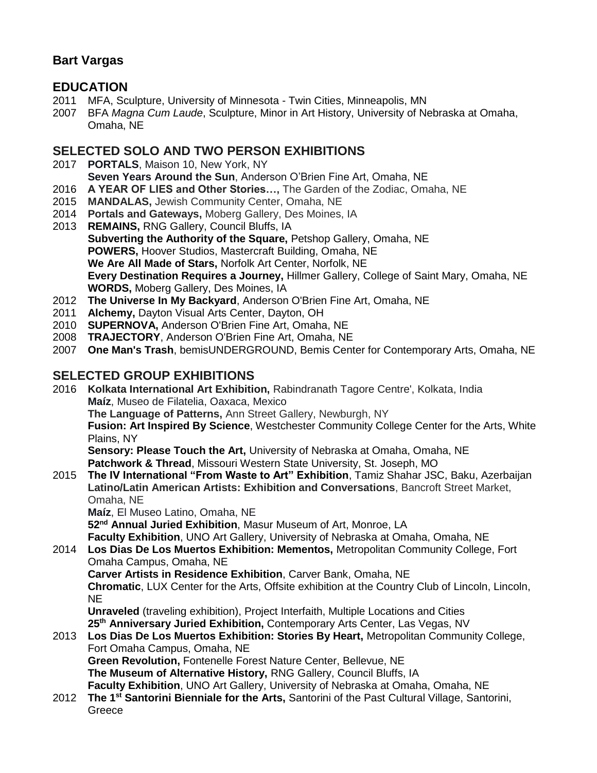## **Bart Vargas**

### **EDUCATION**

- 2011 MFA, Sculpture, University of Minnesota Twin Cities, Minneapolis, MN
- 2007 BFA *Magna Cum Laude*, Sculpture, Minor in Art History, University of Nebraska at Omaha, Omaha, NE

#### **SELECTED SOLO AND TWO PERSON EXHIBITIONS**

- 2017 **PORTALS**, Maison 10, New York, NY
	- **Seven Years Around the Sun**, Anderson O'Brien Fine Art, Omaha, NE
- 2016 **A YEAR OF LIES and Other Stories…,** The Garden of the Zodiac, Omaha, NE
- 2015 **MANDALAS,** Jewish Community Center, Omaha, NE
- 2014 **Portals and Gateways,** Moberg Gallery, Des Moines, IA
- 2013 **REMAINS,** RNG Gallery, Council Bluffs, IA **Subverting the Authority of the Square,** Petshop Gallery, Omaha, NE **POWERS,** Hoover Studios, Mastercraft Building, Omaha, NE **We Are All Made of Stars,** Norfolk Art Center, Norfolk, NE **Every Destination Requires a Journey,** Hillmer Gallery, College of Saint Mary, Omaha, NE **WORDS,** Moberg Gallery, Des Moines, IA
- 2012 **The Universe In My Backyard**, Anderson O'Brien Fine Art, Omaha, NE
- 2011 **Alchemy,** Dayton Visual Arts Center, Dayton, OH
- 2010 **SUPERNOVA,** Anderson O'Brien Fine Art, Omaha, NE
- 2008 **TRAJECTORY**, Anderson O'Brien Fine Art, Omaha, NE
- 2007 **One Man's Trash**, bemisUNDERGROUND, Bemis Center for Contemporary Arts, Omaha, NE

#### **SELECTED GROUP EXHIBITIONS**

- 2016 **Kolkata International Art Exhibition,** Rabindranath Tagore Centre', Kolkata, India **Maíz**, Museo de Filatelia, Oaxaca, Mexico **The Language of Patterns,** Ann Street Gallery, Newburgh, NY **Fusion: Art Inspired By Science**, Westchester Community College Center for the Arts, White Plains, NY **Sensory: Please Touch the Art,** University of Nebraska at Omaha, Omaha, NE **Patchwork & Thread**, Missouri Western State University, St. Joseph, MO 2015 **The IV International "From Waste to Art" Exhibition**, Tamiz Shahar JSC, Baku, Azerbaijan **Latino/Latin American Artists: Exhibition and Conversations**, Bancroft Street Market, Omaha, NE **Maíz**, El Museo Latino, Omaha, NE **52nd Annual Juried Exhibition**, Masur Museum of Art, Monroe, LA
- **Faculty Exhibition**, UNO Art Gallery, University of Nebraska at Omaha, Omaha, NE 2014 **Los Dias De Los Muertos Exhibition: Mementos,** Metropolitan Community College, Fort Omaha Campus, Omaha, NE **Carver Artists in Residence Exhibition**, Carver Bank, Omaha, NE **Chromatic**, LUX Center for the Arts, Offsite exhibition at the Country Club of Lincoln, Lincoln, NE

**Unraveled** (traveling exhibition), Project Interfaith, Multiple Locations and Cities **25th Anniversary Juried Exhibition,** Contemporary Arts Center, Las Vegas, NV

2013 **Los Dias De Los Muertos Exhibition: Stories By Heart,** Metropolitan Community College, Fort Omaha Campus, Omaha, NE **Green Revolution,** Fontenelle Forest Nature Center, Bellevue, NE

**The Museum of Alternative History,** RNG Gallery, Council Bluffs, IA **Faculty Exhibition**, UNO Art Gallery, University of Nebraska at Omaha, Omaha, NE

2012 **The 1st Santorini Bienniale for the Arts,** Santorini of the Past Cultural Village, Santorini, **Greece**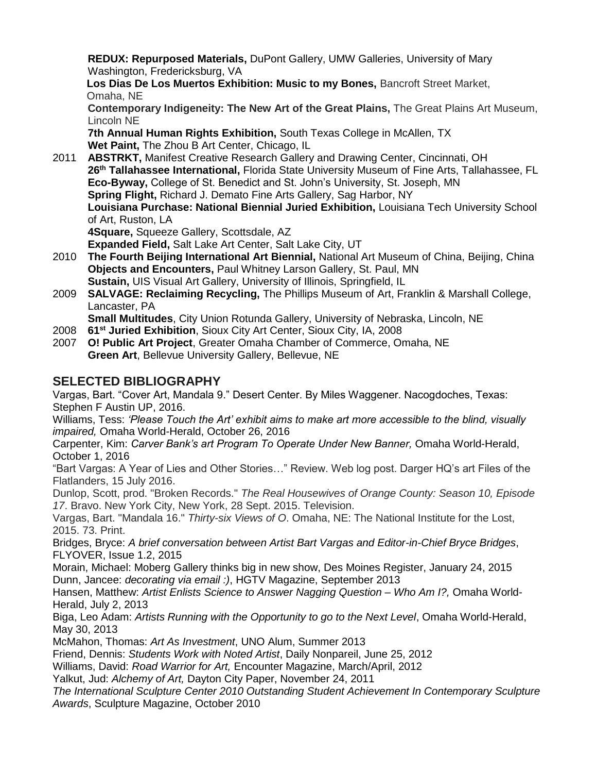**REDUX: Repurposed Materials,** DuPont Gallery, UMW Galleries, University of Mary Washington, Fredericksburg, VA

**Los Dias De Los Muertos Exhibition: Music to my Bones,** Bancroft Street Market, Omaha, NE

**Contemporary Indigeneity: The New Art of the Great Plains,** The Great Plains Art Museum, Lincoln NE

**7th Annual Human Rights Exhibition,** South Texas College in McAllen, TX **Wet Paint,** The Zhou B Art Center, Chicago, IL

2011 **ABSTRKT,** Manifest Creative Research Gallery and Drawing Center, Cincinnati, OH  **26th Tallahassee International,** Florida State University Museum of Fine Arts, Tallahassee, FL **Eco-Byway,** College of St. Benedict and St. John's University, St. Joseph, MN  **Spring Flight,** Richard J. Demato Fine Arts Gallery, Sag Harbor, NY **Louisiana Purchase: National Biennial Juried Exhibition,** Louisiana Tech University School of Art, Ruston, LA **4Square,** Squeeze Gallery, Scottsdale, AZ **Expanded Field,** Salt Lake Art Center, Salt Lake City, UT 2010 **The Fourth Beijing International Art Biennial,** National Art Museum of China, Beijing, China

- **Objects and Encounters,** Paul Whitney Larson Gallery, St. Paul, MN **Sustain,** UIS Visual Art Gallery, University of Illinois, Springfield, IL
- 2009 **SALVAGE: Reclaiming Recycling,** The Phillips Museum of Art, Franklin & Marshall College, Lancaster, PA

**Small Multitudes**, City Union Rotunda Gallery, University of Nebraska, Lincoln, NE

- 2008 **61st Juried Exhibition**, Sioux City Art Center, Sioux City, IA, 2008
- 2007 **O! Public Art Project**, Greater Omaha Chamber of Commerce, Omaha, NE **Green Art**, Bellevue University Gallery, Bellevue, NE

## **SELECTED BIBLIOGRAPHY**

Vargas, Bart. "Cover Art, Mandala 9." Desert Center. By Miles Waggener. Nacogdoches, Texas: Stephen F Austin UP, 2016.

Williams, Tess: *'Please Touch the Art' exhibit aims to make art more accessible to the blind, visually impaired,* Omaha World-Herald, October 26, 2016

Carpenter, Kim: *Carver Bank's art Program To Operate Under New Banner,* Omaha World-Herald, October 1, 2016

"Bart Vargas: A Year of Lies and Other Stories…" Review. Web log post. Darger HQ's art Files of the Flatlanders, 15 July 2016.

Dunlop, Scott, prod. "Broken Records." *The Real Housewives of Orange County: Season 10, Episode 17*. Bravo. New York City, New York, 28 Sept. 2015. Television.

Vargas, Bart. "Mandala 16." *Thirty-six Views of O*. Omaha, NE: The National Institute for the Lost, 2015. 73. Print.

Bridges, Bryce: *A brief conversation between Artist Bart Vargas and Editor-in-Chief Bryce Bridges*, FLYOVER, Issue 1.2, 2015

Morain, Michael: Moberg Gallery thinks big in new show, Des Moines Register, January 24, 2015 Dunn, Jancee: *decorating via email :)*, HGTV Magazine, September 2013

Hansen, Matthew: *Artist Enlists Science to Answer Nagging Question – Who Am I?,* Omaha World-Herald, July 2, 2013

Biga, Leo Adam: *Artists Running with the Opportunity to go to the Next Level*, Omaha World-Herald, May 30, 2013

McMahon, Thomas: *Art As Investment*, UNO Alum, Summer 2013

Friend, Dennis: *Students Work with Noted Artist*, Daily Nonpareil, June 25, 2012

Williams, David: *Road Warrior for Art,* Encounter Magazine, March/April, 2012

Yalkut, Jud: *Alchemy of Art,* Dayton City Paper, November 24, 2011

*The International Sculpture Center 2010 Outstanding Student Achievement In Contemporary Sculpture Awards*, Sculpture Magazine, October 2010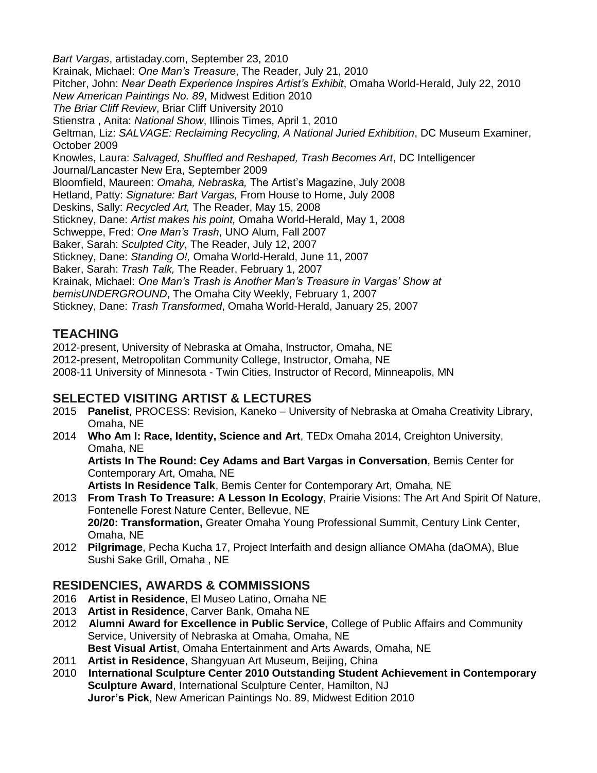*Bart Vargas*, artistaday.com, September 23, 2010 Krainak, Michael: *One Man's Treasure*, The Reader, July 21, 2010 Pitcher, John: *Near Death Experience Inspires Artist's Exhibit*, Omaha World-Herald, July 22, 2010 *New American Paintings No. 89*, Midwest Edition 2010 *The Briar Cliff Review*, Briar Cliff University 2010 Stienstra , Anita: *National Show*, Illinois Times, April 1, 2010 Geltman, Liz: *SALVAGE: Reclaiming Recycling, A National Juried Exhibition*, DC Museum Examiner, October 2009 Knowles, Laura: *Salvaged, Shuffled and Reshaped, Trash Becomes Art*, DC Intelligencer Journal/Lancaster New Era, September 2009 Bloomfield, Maureen: *Omaha, Nebraska,* The Artist's Magazine, July 2008 Hetland, Patty: *Signature: Bart Vargas,* From House to Home, July 2008 Deskins, Sally: *Recycled Art,* The Reader, May 15, 2008 Stickney, Dane: *Artist makes his point,* Omaha World-Herald, May 1, 2008 Schweppe, Fred: *One Man's Trash*, UNO Alum, Fall 2007 Baker, Sarah: *Sculpted City*, The Reader, July 12, 2007 Stickney, Dane: *Standing O!,* Omaha World-Herald, June 11, 2007 Baker, Sarah: *Trash Talk,* The Reader, February 1, 2007 Krainak, Michael: *One Man's Trash is Another Man's Treasure in Vargas' Show at bemisUNDERGROUND*, The Omaha City Weekly, February 1, 2007 Stickney, Dane: *Trash Transformed*, Omaha World-Herald, January 25, 2007

## **TEACHING**

2012-present, University of Nebraska at Omaha, Instructor, Omaha, NE 2012-present, Metropolitan Community College, Instructor, Omaha, NE 2008-11 University of Minnesota - Twin Cities, Instructor of Record, Minneapolis, MN

### **SELECTED VISITING ARTIST & LECTURES**

- 2015 **Panelist**, PROCESS: Revision, Kaneko University of Nebraska at Omaha Creativity Library, Omaha, NE
- 2014 **Who Am I: Race, Identity, Science and Art**, TEDx Omaha 2014, Creighton University, Omaha, NE

**Artists In The Round: Cey Adams and Bart Vargas in Conversation**, Bemis Center for Contemporary Art, Omaha, NE

**Artists In Residence Talk**, Bemis Center for Contemporary Art, Omaha, NE

- 2013 **From Trash To Treasure: A Lesson In Ecology**, Prairie Visions: The Art And Spirit Of Nature, Fontenelle Forest Nature Center, Bellevue, NE **20/20: Transformation,** Greater Omaha Young Professional Summit, Century Link Center, Omaha, NE
- 2012 **Pilgrimage**, Pecha Kucha 17, Project Interfaith and design alliance OMAha (daOMA), Blue Sushi Sake Grill, Omaha , NE

### **RESIDENCIES, AWARDS & COMMISSIONS**

- 2016 **Artist in Residence**, El Museo Latino, Omaha NE
- 2013 **Artist in Residence**, Carver Bank, Omaha NE
- 2012 **Alumni Award for Excellence in Public Service**, College of Public Affairs and Community Service, University of Nebraska at Omaha, Omaha, NE **Best Visual Artist**, Omaha Entertainment and Arts Awards, Omaha, NE
- 2011 **Artist in Residence**, Shangyuan Art Museum, Beijing, China
- 2010 **International Sculpture Center 2010 Outstanding Student Achievement in Contemporary Sculpture Award**, International Sculpture Center, Hamilton, NJ **Juror's Pick**, New American Paintings No. 89, Midwest Edition 2010